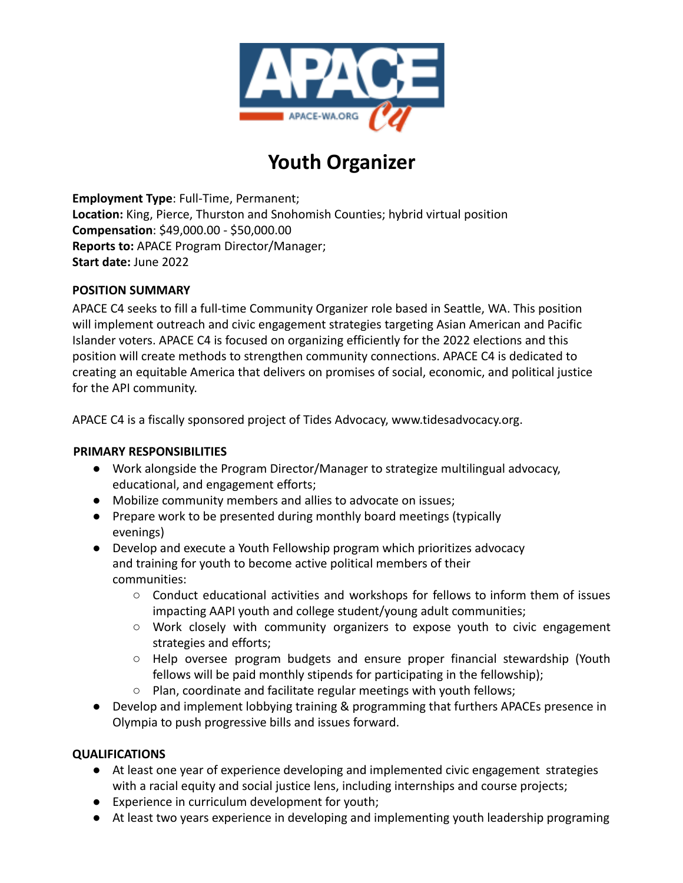

# **Youth Organizer**

**Employment Type**: Full-Time, Permanent; **Location:** King, Pierce, Thurston and Snohomish Counties; hybrid virtual position **Compensation**: \$49,000.00 - \$50,000.00 **Reports to:** APACE Program Director/Manager; **Start date:** June 2022

### **POSITION SUMMARY**

APACE C4 seeks to fill a full-time Community Organizer role based in Seattle, WA. This position will implement outreach and civic engagement strategies targeting Asian American and Pacific Islander voters. APACE C4 is focused on organizing efficiently for the 2022 elections and this position will create methods to strengthen community connections. APACE C4 is dedicated to creating an equitable America that delivers on promises of social, economic, and political justice for the API community.

APACE C4 is a fiscally sponsored project of Tides Advocacy, www.tidesadvocacy.org.

## **PRIMARY RESPONSIBILITIES**

- Work alongside the Program Director/Manager to strategize multilingual advocacy, educational, and engagement efforts;
- Mobilize community members and allies to advocate on issues;
- Prepare work to be presented during monthly board meetings (typically evenings)
- Develop and execute a Youth Fellowship program which prioritizes advocacy and training for youth to become active political members of their communities:
	- Conduct educational activities and workshops for fellows to inform them of issues impacting AAPI youth and college student/young adult communities;
	- Work closely with community organizers to expose youth to civic engagement strategies and efforts;
	- Help oversee program budgets and ensure proper financial stewardship (Youth fellows will be paid monthly stipends for participating in the fellowship);
	- Plan, coordinate and facilitate regular meetings with youth fellows;
- Develop and implement lobbying training & programming that furthers APACEs presence in Olympia to push progressive bills and issues forward.

#### **QUALIFICATIONS**

- At least one year of experience developing and implemented civic engagement strategies with a racial equity and social justice lens, including internships and course projects;
- Experience in curriculum development for youth;
- At least two years experience in developing and implementing youth leadership programing